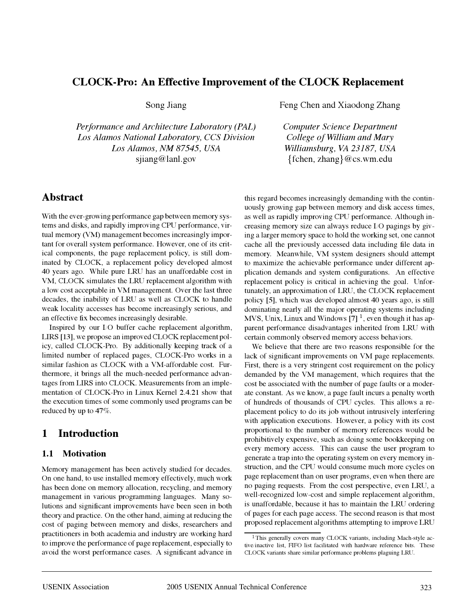## **CLOCK-Pro: An Effective Improvement of the CLOCK Replacement**

Song Jiang

*Performance and Architecture Laboratory (PAL) Los Alamos National Laboratory, CCS Division Los Alamos, NM 87545, USA* sjiang@lanl.gov

Feng Chen and Xiaodong Zhang

*Computer Science Department College of William and Mary Williamsburg, VA 23187, USA*  $\{fchen, Zhang\} @ \text{cs.wm.edu}$ 

## **Abstract**

With the ever-growing performance gap between memory systems and disks, and rapidly improving CPU performance, virtual memory (VM) management becomes increasingly important for overall system performance. However, one of its critical components, the page replacement policy, is still dominated by CLOCK, a replacement policy developed almost 40 years ago. While pure LRU has an unaffordable cost in VM, CLOCK simulates the LRU replacement algorithm with a low cost acceptable in VM management. Over the last three decades, the inability of LRU as well as CLOCK to handle weak locality accesses has become increasingly serious, and an effective fix becomes increasingly desirable.

Inspired by our I/O buffer cache replacement algorithm, LIRS [13], we propose an improved CLOCK replacement policy, called CLOCK-Pro. By additionally keeping track of a limited number of replaced pages, CLOCK-Pro works in a similar fashion as CLOCK with a VM-affordable cost. Furthermore, it brings all the much-needed performance advantages from LIRS into CLOCK. Measurements from an implementation of CLOCK-Pro in Linux Kernel 2.4.21 show that the execution times of some commonly used programs can be reduced by up to 47%.

# **1 Introduction**

### **1.1 Motivation**

Memory management has been actively studied for decades. On one hand, to use installed memory effectively, much work has been done on memory allocation, recycling, and memory management in various programming languages. Many solutions and significant improvements have been seen in both theory and practice. On the other hand, aiming at reducing the cost of paging between memory and disks, researchers and practitioners in both academia and industry are working hard to improve the performance of page replacement, especially to avoid the worst performance cases. A significant advance in this regard becomes increasingly demanding with the continuously growing gap between memory and disk access times, as well as rapidly improving CPU performance. Although increasing memory size can always reduce I/O pagings by giving a larger memory space to hold the working set, one cannot cache all the previously accessed data including file data in memory. Meanwhile, VM system designers should attempt to maximize the achievable performance under different application demands and system configurations. An effective replacement policy is critical in achieving the goal. Unfortunately, an approximation of LRU, the CLOCK replacement policy [5], which was developed almost 40 years ago, is still dominating nearly all the major operating systems including MVS, Unix, Linux and Windows [7]  $^{\perp}$ , even though it has apparent performance disadvantages inherited from LRU with certain commonly observed memory access behaviors.

We believe that there are two reasons responsible for the lack of significant improvements on VM page replacements. First, there is a very stringent cost requirement on the policy demanded by the VM management, which requires that the cost be associated with the number of page faults or a moderate constant. As we know, a page fault incurs a penalty worth of hundreds of thousands of CPU cycles. This allows a replacement policy to do its job without intrusively interfering with application executions. However, a policy with its cost proportional to the number of memory references would be prohibitively expensive, such as doing some bookkeeping on every memory access. This can cause the user program to generate a trap into the operating system on every memory instruction, and the CPU would consume much more cycles on page replacement than on user programs, even when there are no paging requests. From the cost perspective, even LRU, a well-recognized low-cost and simple replacement algorithm, is unaffordable, because it has to maintain the LRU ordering of pages for each page access. The second reason is that most proposed replacement algorithms attempting to improve LRU

<sup>&</sup>lt;sup>1</sup>This generally covers many CLOCK variants, including Mach-style active/inactive list, FIFO list facilitated with hardware reference bits. These CLOCK variants share similar performance problems plaguing LRU.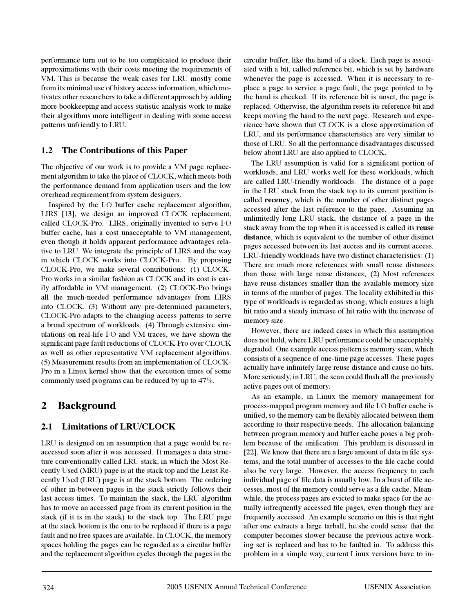performance turn out to be too complicated to produce their approximations with their costs meeting the requirements of VM. This is because the weak cases for LRU mostly come from its minimal use of history access information, which motivates other researchers to take a different approach by adding more bookkeeping and access statistic analysis work to make their algorithms more intelligent in dealing with some access patterns unfriendly to LRU.

### **1.2 The Contributions of this Paper**

The objective of our work is to provide a VM page replacement algorithm to take the place of CLOCK, which meets both the performance demand from application users and the low overhead requirement from system designers.

Inspired by the I/O buffer cache replacement algorithm, LIRS [13], we design an improved CLOCK replacement, called CLOCK-Pro. LIRS, originally invented to serve I/O buffer cache, has a cost unacceptable to VM management, even though it holds apparent performance advantages relative to LRU. We integrate the principle of LIRS and the way in which CLOCK works into CLOCK-Pro. By proposing CLOCK-Pro, we make several contributions: (1) CLOCK-Pro works in a similar fashion as CLOCK and its cost is easily affordable in VM management. (2) CLOCK-Pro brings all the much-needed performance advantages from LIRS into CLOCK. (3) Without any pre-determined parameters, CLOCK-Pro adapts to the changing access patterns to serve a broad spectrum of workloads. (4) Through extensive simulations on real-life I/O and VM traces, we have shown the significant page fault reductions of CLOCK-Pro over CLOCK as well as other representative VM replacement algorithms. (5) Measurement results from an implementation of CLOCK-Pro in a Linux kernel show that the execution times of some commonly used programs can be reduced by up to 47%.

# **2 Background**

## **2.1 Limitations of LRU/CLOCK**

LRU is designed on an assumption that a page would be reaccessed soon after it was accessed. It manages a data structure conventionally called LRU stack, in which the Most Recently Used (MRU) page is at the stack top and the Least Recently Used (LRU) page is at the stack bottom. The ordering of other in-between pages in the stack strictly follows their last access times. To maintain the stack, the LRU algorithm has to move an accessed page from its current position in the stack (if it is in the stack) to the stack top. The LRU page at the stack bottom is the one to be replaced if there is a page fault and no free spaces are available. In CLOCK, the memory spaces holding the pages can be regarded as a circular buffer and the replacement algorithm cycles through the pages in the

circular buffer, like the hand of a clock. Each page is associated with a bit, called reference bit, which is set by hardware whenever the page is accessed. When it is necessary to replace a page to service a page fault, the page pointed to by the hand is checked. If its reference bit is unset, the page is replaced. Otherwise, the algorithm resets its reference bit and keeps moving the hand to the next page. Research and experience have shown that CLOCK is a close approximation of LRU, and its performance characteristics are very similar to those of LRU. So all the performance disadvantages discussed below about LRU are also applied to CLOCK.

The LRU assumption is valid for a significant portion of workloads, and LRU works well for these workloads, which are called LRU-friendly workloads. The distance of a page in the LRU stack from the stack top to its current position is called **recency**, which is the number of other distinct pages accessed after the last reference to the page. Assuming an unlimitedly long LRU stack, the distance of a page in the stack away from the top when it is accessed is called its **reuse distance**, which is equivalent to the number of other distinct pages accessed between its last access and its current access. LRU-friendly workloads have two distinct characteristics: (1) There are much more references with small reuse distances than those with large reuse distances; (2) Most references have reuse distances smaller than the available memory size in terms of the number of pages. The locality exhibited in this type of workloads is regarded as strong, which ensures a high hit ratio and a steady increase of hit ratio with the increase of memory size.

However, there are indeed cases in which this assumption does not hold, where LRU performance could be unacceptably degraded. One example access pattern is memory scan, which consists of a sequence of one-time page accesses. These pages actually have infinitely large reuse distance and cause no hits. More seriously, in LRU, the scan could flush all the previously active pages out of memory.

As an example, in Linux the memory management for process-mapped program memory and file I/O buffer cache is unified, so the memory can be flexibly allocated between them according to their respective needs. The allocation balancing between program memory and buffer cache poses a big problem because of the unification. This problem is discussed in [22]. We know that there are a large amount of data in file systems, and the total number of accesses to the file cache could also be very large. However, the access frequency to each individual page of file data is usually low. In a burst of file accesses, most of the memory could serve as a file cache. Meanwhile, the process pages are evicted to make space for the actually infrequently accessed file pages, even though they are frequently accessed. An example scenario on this is that right after one extracts a large tarball, he/she could sense that the computer becomes slower because the previous active working set is replaced and has to be faulted in. To address this problem in a simple way, current Linux versions have to in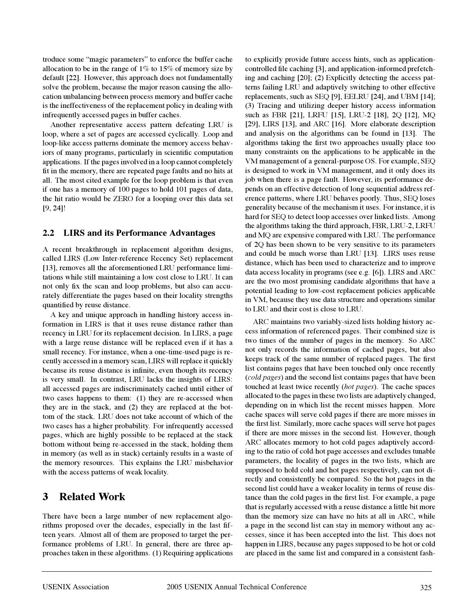troduce some "magic parameters" to enforce the buffer cache allocation to be in the range of 1% to 15% of memory size by default [22]. However, this approach does not fundamentally solve the problem, because the major reason causing the allocation unbalancing between process memory and buffer cache is the ineffectiveness of the replacement policy in dealing with infrequently accessed pages in buffer caches.

Another representative access pattern defeating LRU is loop, where a set of pages are accessed cyclically. Loop and loop-like access patterns dominate the memory access behaviors of many programs, particularly in scientific computation applications. If the pages involved in a loop cannot completely fit in the memory, there are repeated page faults and no hits at all. The most cited example for the loop problem is that even if one has a memory of 100 pages to hold 101 pages of data, the hit ratio would be ZERO for a looping over this data set [9, 24]!

### **2.2 LIRS and its Performance Advantages**

A recent breakthrough in replacement algorithm designs, called LIRS (Low Inter-reference Recency Set) replacement [13], removes all the aforementioned LRU performance limitations while still maintaining a low cost close to LRU. It can not only fix the scan and loop problems, but also can accurately differentiate the pages based on their locality strengths quantified by reuse distance.

A key and unique approach in handling history access information in LIRS is that it uses reuse distance rather than recency in LRU for its replacement decision. In LIRS, a page with a large reuse distance will be replaced even if it has a small recency. For instance, when a one-time-used page is recently accessed in a memory scan, LIRS will replace it quickly because its reuse distance is infinite, even though its recency is very small. In contrast, LRU lacks the insights of LIRS: all accessed pages are indiscriminately cached until either of two cases happens to them: (1) they are re-accessed when they are in the stack, and (2) they are replaced at the bottom of the stack. LRU does not take account of which of the two cases has a higher probability. For infrequently accessed pages, which are highly possible to be replaced at the stack bottom without being re-accessed in the stack, holding them in memory (as well as in stack) certainly results in a waste of the memory resources. This explains the LRU misbehavior with the access patterns of weak locality.

# **3 Related Work**

There have been a large number of new replacement algorithms proposed over the decades, especially in the last fifteen years. Almost all of them are proposed to target the performance problems of LRU. In general, there are three approaches taken in these algorithms. (1) Requiring applications to explicitly provide future access hints, such as applicationcontrolled file caching [3], and application-informed prefetching and caching [20]; (2) Explicitly detecting the access patterns failing LRU and adaptively switching to other effective replacements, such as SEQ [9], EELRU [24], and UBM [14]; (3) Tracing and utilizing deeper history access information such as FBR [21], LRFU [15], LRU-2 [18], 2Q [12], MQ [29], LIRS [13], and ARC [16]. More elaborate description and analysis on the algorithms can be found in [13]. The algorithms taking the first two approaches usually place too many constraints on the applications to be applicable in the VM management of a general-purpose OS. For example, SEQ is designed to work in VM management, and it only does its job when there is a page fault. However, its performance depends on an effective detection of long sequential address reference patterns, where LRU behaves poorly. Thus, SEQ loses generality because of the mechanism it uses. For instance, it is hard for SEQ to detect loop accesses over linked lists. Among the algorithms taking the third approach, FBR, LRU-2, LRFU and MQ are expensive compared with LRU. The performance of 2Q has been shown to be very sensitive to its parameters and could be much worse than LRU [13]. LIRS uses reuse distance, which has been used to characterize and to improve data access locality in programs (see e.g. [6]). LIRS and ARC are the two most promising candidate algorithms that have a potential leading to low-cost replacement policies applicable in VM, because they use data structure and operations similar to LRU and their cost is close to LRU.

ARC maintains two variably-sized lists holding history access information of referenced pages. Their combined size is two times of the number of pages in the memory. So ARC not only records the information of cached pages, but also keeps track of the same number of replaced pages. The first list contains pages that have been touched only once recently (*cold pages*) and the second list contains pages that have been touched at least twice recently (*hot pages*). The cache spaces allocated to the pages in these two lists are adaptively changed, depending on in which list the recent misses happen. More cache spaces will serve cold pages if there are more misses in the first list. Similarly, more cache spaces will serve hot pages if there are more misses in the second list. However, though ARC allocates memory to hot/cold pages adaptively according to the ratio of cold/hot page accesses and excludes tunable parameters, the locality of pages in the two lists, which are supposed to hold cold and hot pages respectively, can not directly and consistently be compared. So the hot pages in the second list could have a weaker locality in terms of reuse distance than the cold pages in the first list. For example, a page that is regularly accessed with a reuse distance a little bit more than the memory size can have no hits at all in ARC, while a page in the second list can stay in memory without any accesses, since it has been accepted into the list. This does not happen in LIRS, because any pages supposed to be hot or cold are placed in the same list and compared in a consistent fash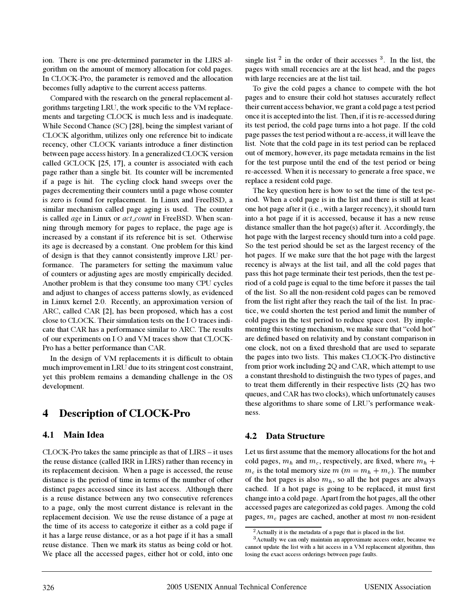ion. There is one pre-determined parameter in the LIRS algorithm on the amount of memory allocation for cold pages. In CLOCK-Pro, the parameter is removed and the allocation becomes fully adaptive to the current access patterns.

Compared with the research on the general replacement algorithms targeting LRU, the work specific to the VM replacements and targeting CLOCK is much less and is inadequate. While Second Chance (SC) [28], being the simplest variant of CLOCK algorithm, utilizes only one reference bit to indicate recency, other CLOCK variants introduce a finer distinction between page access history. In a generalized CLOCK version called GCLOCK [25, 17], a counter is associated with each page rather than a single bit. Its counter will be incremented if a page is hit. The cycling clock hand sweeps over the pages decrementing their counters until a page whose counter is zero is found for replacement. In Linux and FreeBSD, a similar mechanism called page aging is used. The counter is called *age* in Linux or *act count* in FreeBSD. When scanning through memory for pages to replace, the page age is increased by a constant if its reference bit is set. Otherwise its age is decreased by a constant. One problem for this kind of design is that they cannot consistently improve LRU performance. The parameters for setting the maximum value of counters or adjusting ages are mostly empirically decided. Another problem is that they consume too many CPU cycles and adjust to changes of access patterns slowly, as evidenced in Linux kernel 2.0. Recently, an approximation version of ARC, called CAR [2], has been proposed, which has a cost close to CLOCK. Their simulation tests on the I/O traces indicate that CAR has a performance similar to ARC. The results of our experiments on I/O and VM traces show that CLOCK-Pro has a better performance than CAR.

In the design of VM replacements it is difficult to obtain much improvement in LRU due to its stringent cost constraint, yet this problem remains a demanding challenge in the OS development.

# **4 Description of CLOCK-Pro**

### **4.1 Main Idea**

CLOCK-Pro takes the same principle as that of LIRS – it uses the reuse distance (called IRR in LIRS) rather than recency in its replacement decision. When a page is accessed, the reuse distance is the period of time in terms of the number of other distinct pages accessed since its last access. Although there is a reuse distance between any two consecutive references to a page, only the most current distance is relevant in the replacement decision. We use the reuse distance of a page at the time of its access to categorize it either as a cold page if it has a large reuse distance, or as a hot page if it has a small reuse distance. Then we mark its status as being cold or hot. We place all the accessed pages, either hot or cold, into one

single list  $2$  in the order of their accesses  $3$ . In the list, the pages with small recencies are at the list head, and the pages with large recencies are at the list tail.

To give the cold pages a chance to compete with the hot pages and to ensure their cold/hot statuses accurately reflect their current access behavior, we grant a cold page a test period once it is accepted into the list. Then, if it is re-accessed during its test period, the cold page turns into a hot page. If the cold page passes the test period without a re-access, it will leave the list. Note that the cold page in its test period can be replaced out of memory, however, its page metadata remains in the list for the test purpose until the end of the test period or being re-accessed. When it is necessary to generate a free space, we replace a resident cold page.

The key question here is how to set the time of the test period. When a cold page is in the list and there is still at least one hot page after it (i.e., with a larger recency), it should turn into a hot page if it is accessed, because it has a new reuse distance smaller than the hot page(s) after it. Accordingly, the hot page with the largest recency should turn into a cold page. So the test period should be set as the largest recency of the hot pages. If we make sure that the hot page with the largest recency is always at the list tail, and all the cold pages that pass this hot page terminate their test periods, then the test period of a cold page is equal to the time before it passes the tail of the list. So all the non-resident cold pages can be removed from the list right after they reach the tail of the list. In practice, we could shorten the test period and limit the number of cold pages in the test period to reduce space cost. By implementing this testing mechanism, we make sure that "cold/hot" are defined based on relativity and by constant comparison in one clock, not on a fixed threshold that are used to separate the pages into two lists. This makes CLOCK-Pro distinctive from prior work including 2Q and CAR, which attempt to use a constant threshold to distinguish the two types of pages, and to treat them differently in their respective lists (2Q has two queues, and CAR has two clocks), which unfortunately causes these algorithms to share some of LRU's performance weakness.

### **4.2 Data Structure**

Let us first assume that the memory allocations for the hot and cold pages,  $m_h$  and  $m_c$ , respectively, are fixed, where  $m_h$  +  $m_c$  is the total memory size  $m (m = m_h + m_c)$ . The number of the hot pages is also  $m_h$ , so all the hot pages are always cached. If a hot page is going to be replaced, it must first change into a cold page. Apart from the hot pages, all the other accessed pages are categorized as cold pages. Among the cold pages,  $m_c$  pages are cached, another at most  $m$  non-resident

 $2$ Actually it is the metadata of a page that is placed in the list.

 $3$ Actually we can only maintain an approximate access order, because we cannot update the list with a hit access in a VM replacement algorithm, thus losing the exact access orderings between page faults.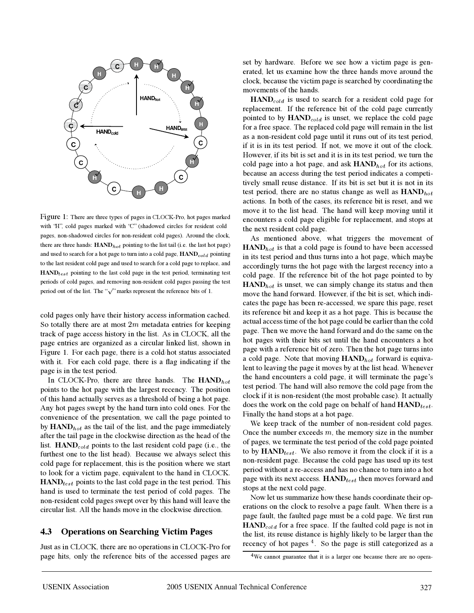

Figure 1: There are three types of pages in CLOCK-Pro, hot pages marked with "H", cold pages marked with "C" (shadowed circles for resident cold pages, non-shadowed circles for non-resident cold pages). Around the clock, there are three hands:  $HAND_{hot}$  pointing to the list tail (i.e. the last hot page) and used to search for a hot page to turn into a cold page,  $\textbf{HAND}_{cold}$  pointing to the last resident cold page and used to search for a cold page to replace, and  $HAND_{test}$  pointing to the last cold page in the test period, terminating test periods of cold pages, and removing non-resident cold pages passing the test period out of the list. The " $\sqrt{ }$ " marks represent the reference bits of 1.

cold pages only have their history access information cached. So totally there are at most  $2m$  metadata entries for keeping track of page access history in the list. As in CLOCK, all the page entries are organized as a circular linked list, shown in Figure 1. For each page, there is a cold/hot status associated with it. For each cold page, there is a flag indicating if the page is in the test period.

In CLOCK-Pro, there are three hands. The **HAND** points to the hot page with the largest recency. The position of this hand actually serves as a threshold of being a hot page. Any hot pages swept by the hand turn into cold ones. For the convenience of the presentation, we call the page pointed to by  $HAND_{hot}$  as the tail of the list, and the page immediately after the tail page in the clockwise direction as the head of the list.  $\mathbf{HAND}_{cold}$  points to the last resident cold page (i.e., the furthest one to the list head). Because we always select this cold page for replacement, this is the position where we start to look for a victim page, equivalent to the hand in CLOCK.  $HAND_{test}$  points to the last cold page in the test period. This hand is used to terminate the test period of cold pages. The non-resident cold pages swept over by this hand will leave the circular list. All the hands move in the clockwise direction.

#### **4.3 Operations on Searching Victim Pages**

Just as in CLOCK, there are no operations in CLOCK-Pro for page hits, only the reference bits of the accessed pages are set by hardware. Before we see how a victim page is generated, let us examine how the three hands move around the clock, because the victim page is searched by coordinating the movements of the hands.

 $\text{HAND}_{\textit{cold}}$  is used to search for a resident cold page for replacement. If the reference bit of the cold page currently pointed to by  $\text{HAND}_{cold}$  is unset, we replace the cold page for a free space. The replaced cold page will remain in the list as a non-resident cold page until it runs out of its test period, if it is in its test period. If not, we move it out of the clock. However, if its bit is set and it is in its test period, we turn the cold page into a hot page, and ask  $HAND_{hot}$  for its actions, because an access during the test period indicates a competitively small reuse distance. If its bit is set but it is not in its test period, there are no status change as well as **HAND** actions. In both of the cases, its reference bit is reset, and we move it to the list head. The hand will keep moving until it encounters a cold page eligible for replacement, and stops at the next resident cold page.

As mentioned above, what triggers the movement of  $HAND<sub>hot</sub>$  is that a cold page is found to have been accessed in its test period and thus turns into a hot page, which maybe accordingly turns the hot page with the largest recency into a cold page. If the reference bit of the hot page pointed to by  $HAND<sub>hot</sub>$  is unset, we can simply change its status and then move the hand forward. However, if the bit is set, which indicates the page has been re-accessed, we spare this page, reset its reference bit and keep it as a hot page. This is because the actual access time of the hot page could be earlier than the cold page. Then we move the hand forward and do the same on the hot pages with their bits set until the hand encounters a hot page with a reference bit of zero. Then the hot page turns into a cold page. Note that moving  $HAND_{hot}$  forward is equivalent to leaving the page it moves by at the list head. Whenever the hand encounters a cold page, it will terminate the page's test period. The hand will also remove the cold page from the clock if it is non-resident (the most probable case). It actually does the work on the cold page on behalf of hand  $HAND_{test}$ . Finally the hand stops at a hot page.

We keep track of the number of non-resident cold pages. Once the number exceeds  $m$ , the memory size in the number of pages, we terminate the test period of the cold page pointed to by  $HAND_{test}$ . We also remove it from the clock if it is a non-resident page. Because the cold page has used up its test period without a re-access and has no chance to turn into a hot page with its next access.  $HAND_{test}$  then moves forward and stops at the next cold page.

Now let us summarize how these hands coordinate their operations on the clock to resolve a page fault. When there is a page fault, the faulted page must be a cold page. We first run  $HAND_{cold}$  for a free space. If the faulted cold page is not in the list, its reuse distance is highly likely to be larger than the recency of hot pages  $4$ . So the page is still categorized as a

<sup>&</sup>lt;sup>4</sup>We cannot guarantee that it is a larger one because there are no opera-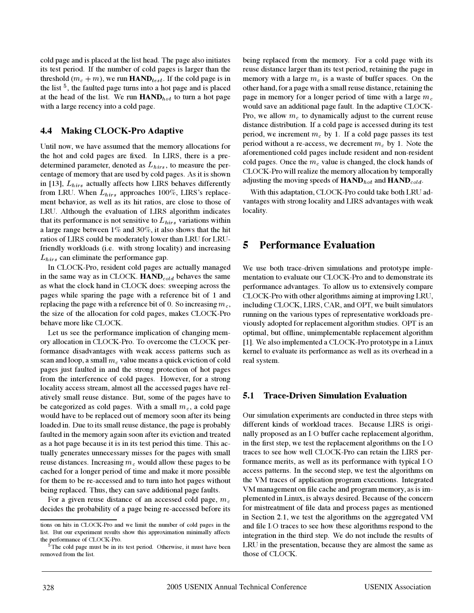cold page and is placed at the list head. The page also initiates its test period. If the number of cold pages is larger than the threshold  $(m_c + m)$ , we run  $\textbf{HAND}_{test}$ . If the cold page is in the list  $<sup>5</sup>$ , the faulted page turns into a hot page and is placed</sup> at the head of the list. We run  $HAND_{hot}$  to turn a hot page with a large recency into a cold page.

### **4.4 Making CLOCK-Pro Adaptive**

Until now, we have assumed that the memory allocations for the hot and cold pages are fixed. In LIRS, there is a predetermined parameter, denoted as  $L_{hirs}$ , to measure the percentage of memory that are used by cold pages. As it is shown in [13],  $L_{hirs}$  actually affects how LIRS behaves differently from LRU. When  $L_{hirs}$  approaches 100%, LIRS's replacement behavior, as well as its hit ratios, are close to those of LRU. Although the evaluation of LIRS algorithm indicates that its performance is not sensitive to  $L_{hirs}$  variations within a large range between 1% and 30%, it also shows that the hit ratios of LIRS could be moderately lower than LRU for LRUfriendly workloads (i.e. with strong locality) and increasing  $L_{hirs}$  can eliminate the performance gap.

In CLOCK-Pro, resident cold pages are actually managed in the same way as in CLOCK.  $HAND_{cold}$  behaves the same as what the clock hand in CLOCK does: sweeping across the pages while sparing the page with a reference bit of 1 and replacing the page with a reference bit of 0. So increasing  $m_c$ , the size of the allocation for cold pages, makes CLOCK-Pro behave more like CLOCK.

Let us see the performance implication of changing memory allocation in CLOCK-Pro. To overcome the CLOCK performance disadvantages with weak access patterns such as scan and loop, a small  $m_c$  value means a quick eviction of cold pages just faulted in and the strong protection of hot pages from the interference of cold pages. However, for a strong locality access stream, almost all the accessed pages have relatively small reuse distance. But, some of the pages have to be categorized as cold pages. With a small  $m_c$ , a cold page would have to be replaced out of memory soon after its being loaded in. Due to its small reuse distance, the page is probably faulted in the memory again soon after its eviction and treated as a hot page because it is in its test period this time. This actually generates unnecessary misses for the pages with small reuse distances. Increasing  $m_c$  would allow these pages to be cached for a longer period of time and make it more possible for them to be re-accessed and to turn into hot pages without being replaced. Thus, they can save additional page faults.

For a given reuse distance of an accessed cold page,  $m_c$ decides the probability of a page being re-accessed before its

being replaced from the memory. For a cold page with its reuse distance larger than its test period, retaining the page in memory with a large  $m_c$  is a waste of buffer spaces. On the other hand, for a page with a small reuse distance, retaining the page in memory for a longer period of time with a large  $m_c$ would save an additional page fault. In the adaptive CLOCK-Pro, we allow  $m_c$  to dynamically adjust to the current reuse distance distribution. If a cold page is accessed during its test period, we increment  $m_c$  by 1. If a cold page passes its test period without a re-access, we decrement  $m_c$  by 1. Note the aforementioned cold pages include resident and non-resident cold pages. Once the  $m_c$  value is changed, the clock hands of CLOCK-Pro will realize the memory allocation by temporally adjusting the moving speeds of  $\textbf{HAND}_{hot}$  and  $\textbf{HAND}_{cold}$ .

With this adaptation, CLOCK-Pro could take both LRU advantages with strong locality and LIRS advantages with weak locality.

## **5 Performance Evaluation**

 , including CLOCK, LIRS, CAR, and OPT, we built simulators We use both trace-driven simulations and prototype implementation to evaluate our CLOCK-Pro and to demonstrate its performance advantages. To allow us to extensively compare CLOCK-Pro with other algorithms aiming at improving LRU, running on the various types of representative workloads previously adopted for replacement algorithm studies. OPT is an optimal, but offline, unimplementable replacement algorithm [1]. We also implemented a CLOCK-Pro prototype in a Linux kernel to evaluate its performance as well as its overhead in a real system.

### **5.1 Trace-Driven Simulation Evaluation**

Our simulation experiments are conducted in three steps with different kinds of workload traces. Because LIRS is originally proposed as an I/O buffer cache replacement algorithm, in the first step, we test the replacement algorithms on the I/O traces to see how well CLOCK-Pro can retain the LIRS performance merits, as well as its performance with typical I/O access patterns. In the second step, we test the algorithms on the VM traces of application program executions. Integrated VM management on file cache and program memory, as is implemented in Linux, is always desired. Because of the concern for mistreatment of file data and process pages as mentioned in Section 2.1, we test the algorithms on the aggregated VM and file I/O traces to see how these algorithms respond to the integration in the third step. We do not include the results of LRU in the presentation, because they are almost the same as those of CLOCK.

tions on hits in CLOCK-Pro and we limit the number of cold pages in the list. But our experiment results show this approximation minimally affects the performance of CLOCK-Pro.

<sup>&</sup>lt;sup>5</sup>The cold page must be in its test period. Otherwise, it must have been removed from the list.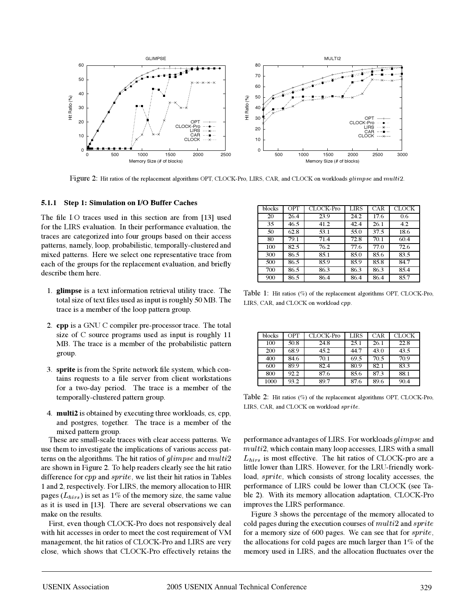

Figure 2: Hit ratios of the replacement algorithms OPT, CLOCK-Pro, LIRS, CAR, and CLOCK on workloads  $glimpse$  and  $multi2$ .

#### **5.1.1 Step 1: Simulation on I/O Buffer Caches**

The file I/O traces used in this section are from [13] used for the LIRS evaluation. In their performance evaluation, the traces are categorized into four groups based on their access patterns, namely, loop, probabilistic, temporally-clustered and mixed patterns. Here we select one representative trace from each of the groups for the replacement evaluation, and briefly describe them here.

- 1. **glimpse** is a text information retrieval utility trace. The total size of text files used as input is roughly 50 MB. The trace is a member of the loop pattern group.
- 2. **cpp** is a GNU C compiler pre-processor trace. The total size of C source programs used as input is roughly 11 MB. The trace is a member of the probabilistic pattern group.
- 3. **sprite** is from the Sprite network file system, which contains requests to a file server from client workstations for a two-day period. The trace is a member of the temporally-clustered pattern group.
- 4. **multi2** is obtained by executing three workloads, cs, cpp, and postgres, together. The trace is a member of the mixed pattern group.

These are small-scale traces with clear access patterns. We use them to investigate the implications of various access patterns on the algorithms. The hit ratios of  $glimpse$  and  $multi2$ are shown in Figure 2. To help readers clearly see the hit ratio difference for  $cpp$  and  $sprite$ , we list their hit ratios in Tables 1 and 2, respectively. For LIRS, the memory allocation to HIR pages ( $L_{hirs}$ ) is set as 1% of the memory size, the same value as it is used in [13]. There are several observations we can make on the results.

First, even though CLOCK-Pro does not responsively deal with hit accesses in order to meet the cost requirement of VM management, the hit ratios of CLOCK-Pro and LIRS are very close, which shows that CLOCK-Pro effectively retains the

| blocks | OPT  | CLOCK-Pro | LIRS | CAR  | <b>CLOCK</b> |
|--------|------|-----------|------|------|--------------|
| 20     | 26.4 | 23.9      | 24.2 | 17.6 | 0.6          |
| 35     | 46.5 | 41.2      | 42.4 | 26.1 | 4.2          |
| 50     | 62.8 | 53.1      | 55.0 | 37.5 | 18.6         |
| 80     | 79.1 | 71.4      | 72.8 | 70.1 | 60.4         |
| 100    | 82.5 | 76.2      | 77.6 | 77.0 | 72.6         |
| 300    | 86.5 | 85.1      | 85.0 | 85.6 | 83.5         |
| 500    | 86.5 | 85.9      | 85.9 | 85.8 | 84.7         |
| 700    | 86.5 | 86.3      | 86.3 | 86.3 | 85.4         |
| 900    | 86.5 | 86.4      | 86.4 | 86.4 | 85.7         |

Table 1: Hit ratios (%) of the replacement algorithms OPT, CLOCK-Pro, LIRS, CAR, and CLOCK on workload cpp.

| blocks | OPT  | CLOCK-Pro | LIRS | CAR  | <b>CLOCK</b> |
|--------|------|-----------|------|------|--------------|
| 100    | 50.8 | 24.8      | 25.1 | 26.1 | 22.8         |
| 200    | 68.9 | 45.2      | 44.7 | 43.0 | 43.5         |
| 400    | 84.6 | 70.1      | 69.5 | 70.5 | 70.9         |
| 600    | 899  | 82.4      | 80.9 | 82.1 | 83.3         |
| 800    | 92.2 | 87.6      | 85.6 | 87.3 | 88.1         |
| 1000   | 93.2 | 897       | 87.6 | 89.6 | 90.4         |

Table 2: Hit ratios (%) of the replacement algorithms OPT, CLOCK-Pro, LIRS, CAR, and CLOCK on workload  $\textit{sprite}.$ 

performance advantages of LIRS. For workloads  $glimpse$  and  $multi2$ , which contain many loop accesses, LIRS with a small  $L_{hirs}$  is most effective. The hit ratios of CLOCK-pro are a little lower than LIRS. However, for the LRU-friendly workload, sprite, which consists of strong locality accesses, the performance of LIRS could be lower than CLOCK (see Table 2). With its memory allocation adaptation, CLOCK-Pro improves the LIRS performance.

Figure 3 shows the percentage of the memory allocated to cold pages during the execution courses of  $multi2$  and  $\text{sprite}$ for a memory size of 600 pages. We can see that for  $\textit{sprite}$ , the allocations for cold pages are much larger than 1% of the memory used in LIRS, and the allocation fluctuates over the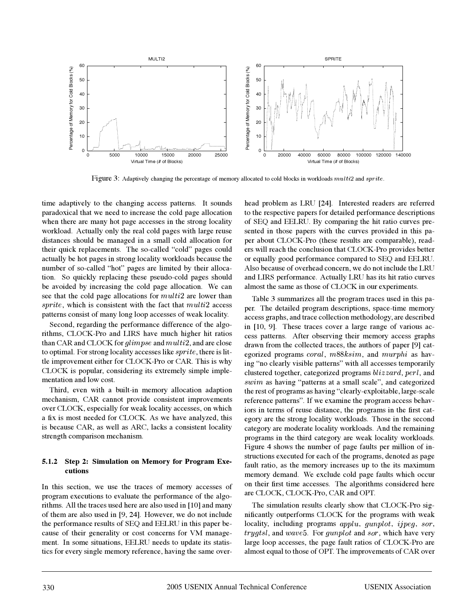

Figure 3: Adaptively changing the percentage of memory allocated to cold blocks in workloads  $multi2$  and  $sprite$ .

time adaptively to the changing access patterns. It sounds paradoxical that we need to increase the cold page allocation when there are many hot page accesses in the strong locality workload. Actually only the real cold pages with large reuse distances should be managed in a small cold allocation for their quick replacements. The so-called "cold" pages could actually be hot pages in strong locality workloads because the number of so-called "hot" pages are limited by their allocation. So quickly replacing these pseudo-cold pages should be avoided by increasing the cold page allocation. We can see that the cold page allocations for  $multi2$  are lower than  $\textit{sprite}$ , which is consistent with the fact that  $\textit{multi2}$  access patterns consist of many long loop accesses of weak locality.

Second, regarding the performance difference of the algorithms, CLOCK-Pro and LIRS have much higher hit ratios than CAR and CLOCK for  $\dim pse$  and  $\mu$ ulti<sub>2</sub>, and are close to optimal. For strong locality accesses like  $\textit{sprite}$ , there is little improvement either for CLOCK-Pro or CAR. This is why CLOCK is popular, considering its extremely simple implementation and low cost.

Third, even with a built-in memory allocation adaption mechanism, CAR cannot provide consistent improvements over CLOCK, especially for weak locality accesses, on which a fix is most needed for CLOCK. As we have analyzed, this is because CAR, as well as ARC, lacks a consistent locality strength comparison mechanism.

#### **5.1.2 Step 2: Simulation on Memory for Program Executions**

In this section, we use the traces of memory accesses of program executions to evaluate the performance of the algorithms. All the traces used here are also used in [10] and many of them are also used in [9, 24]. However, we do not include the performance results of SEQ and EELRU in this paper because of their generality or cost concerns for VM management. In some situations, EELRU needs to update its statistics for every single memory reference, having the same overhead problem as LRU [24]. Interested readers are referred to the respective papers for detailed performance descriptions of SEQ and EELRU. By comparing the hit ratio curves presented in those papers with the curves provided in this paper about CLOCK-Pro (these results are comparable), readers will reach the conclusion that CLOCK-Pro provides better or equally good performance compared to SEQ and EELRU. Also because of overhead concern, we do not include the LRU and LIRS performance. Actually LRU has its hit ratio curves almost the same as those of CLOCK in our experiments.

Table 3 summarizes all the program traces used in this paper. The detailed program descriptions, space-time memory access graphs, and trace collection methodology, are described in [10, 9]. These traces cover a large range of various access patterns. After observing their memory access graphs drawn from the collected traces, the authors of paper [9] categorized programs  $\mathit{coral},\ m88\mathit{ksim},\ \text{and}\ \mathit{murphi}$  as having "no clearly visible patterns" with all accesses temporarily clustered together, categorized programs  $blizzard, \, perl,$  and  $swim$  as having "patterns at a small scale", and categorized the rest of programs as having "clearly-exploitable, large-scale reference patterns". If we examine the program access behaviors in terms of reuse distance, the programs in the first category are the strong locality workloads. Those in the second category are moderate locality workloads. And the remaining programs in the third category are weak locality workloads. Figure 4 shows the number of page faults per million of instructions executed for each of the programs, denoted as page fault ratio, as the memory increases up to the its maximum memory demand. We exclude cold page faults which occur on their first time accesses. The algorithms considered here are CLOCK, CLOCK-Pro, CAR and OPT.

The simulation results clearly show that CLOCK-Pro significantly outperforms CLOCK for the programs with weak locality, including programs  $applu, ~gunplot, ~ijpeg, ~sor,$  $trygtsl,$  and  $wave5.$  For  $gunplot$  and  $sor,$  which have very large loop accesses, the page fault ratios of CLOCK-Pro are almost equal to those of OPT. The improvements of CAR over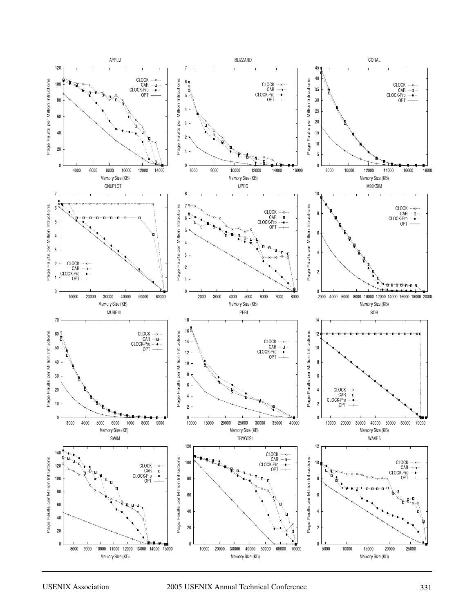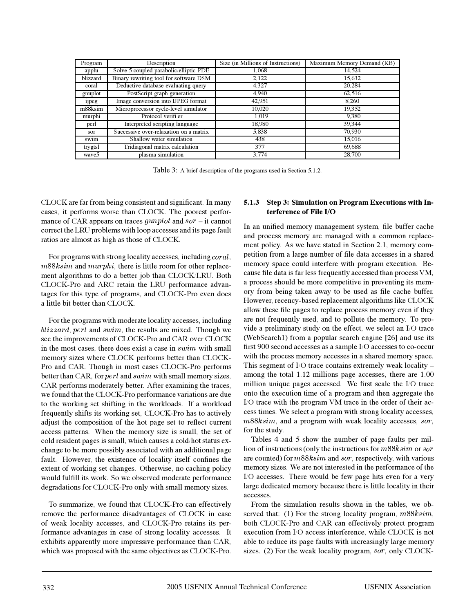| Program  | Description                            | Size (in Millions of Instructions) | Maximum Memory Demand (KB) |
|----------|----------------------------------------|------------------------------------|----------------------------|
| applu    | Solve 5 coupled parabolic/elliptic PDE | 1.068                              | 14,524                     |
| blizzard | Binary rewriting tool for software DSM | 2.122                              | 15,632                     |
| coral    | Deductive database evaluating query    | 4.327                              | 20,284                     |
| gnuplot  | PostScript graph generation            | 4,940                              | 62,516                     |
| ijpeg    | Image conversion into IJPEG format     | 42,951                             | 8.260                      |
| m88ksim  | Microprocessor cycle-level simulator   | 10.020                             | 19,352                     |
| murphi   | Protocol verifi er                     | 1.019                              | 9.380                      |
| perl     | Interpreted scripting language         | 18,980                             | 39,344                     |
| sor      | Successive over-relaxation on a matrix | 5,838                              | 70,930                     |
| swim     | Shallow water simulation               | 438                                | 15,016                     |
| trygtsl  | Tridiagonal matrix calculation         | 377                                | 69.688                     |
| wave5    | plasma simulation                      | 3.774                              | 28.700                     |

Table 3: A brief description of the programs used in Section 5.1.2.

CLOCK are far from being consistent and significant. In many cases, it performs worse than CLOCK. The poorest performance of CAR appears on traces  $\mathit{gunplot}$  and  $\mathit{sor}$  – it cannot correct the LRU problems with loop accesses and its page fault ratios are almost as high as those of CLOCK.

For programs with strong locality accesses, including  $\mathit{coral}, \quad \quad \mathit{b}$  $m88ksim$  and  $murphi$ , there is little room for other replacement algorithms to do a better job than CLOCK/LRU. Both CLOCK-Pro and ARC retain the LRU performance advantages for this type of programs, and CLOCK-Pro even does a little bit better than CLOCK.

For the programs with moderate locality accesses, including  ${\it blizzard}, {\it perl}$  and  ${\it swim},$  the results are mixed. Though we see the improvements of CLOCK-Pro and CAR over CLOCK in the most cases, there does exist a case in  $swim$  with small memory sizes where CLOCK performs better than CLOCK-Pro and CAR. Though in most cases CLOCK-Pro performs better than CAR, for  $perl$  and  $swim$  with small memory sizes, CAR performs moderately better. After examining the traces, we found that the CLOCK-Pro performance variations are due to the working set shifting in the workloads. If a workload frequently shifts its working set, CLOCK-Pro has to actively adjust the composition of the hot page set to reflect current access patterns. When the memory size is small, the set of cold resident pages is small, which causes a cold/hot status exchange to be more possibly associated with an additional page fault. However, the existence of locality itself confines the extent of working set changes. Otherwise, no caching policy would fulfill its work. So we observed moderate performance degradations for CLOCK-Pro only with small memory sizes.

To summarize, we found that CLOCK-Pro can effectively remove the performance disadvantages of CLOCK in case of weak locality accesses, and CLOCK-Pro retains its performance advantages in case of strong locality accesses. It exhibits apparently more impressive performance than CAR, which was proposed with the same objectives as CLOCK-Pro.

### **5.1.3 Step 3: Simulation on Program Executions with Interference of File I/O**

 petition from a large number of file data accesses in a shared In an unified memory management system, file buffer cache and process memory are managed with a common replacement policy. As we have stated in Section 2.1, memory commemory space could interfere with program execution. Because file data is far less frequently accessed than process VM, a process should be more competitive in preventing its memory from being taken away to be used as file cache buffer. However, recency-based replacement algorithms like CLOCK allow these file pages to replace process memory even if they are not frequently used, and to pollute the memory. To provide a preliminary study on the effect, we select an I/O trace (WebSearch1) from a popular search engine [26] and use its first 900 second accesses as a sample I/O accesses to co-occur with the process memory accesses in a shared memory space. This segment of I/O trace contains extremely weak locality – among the total 1.12 millions page accesses, there are 1.00 million unique pages accessed. We first scale the I/O trace onto the execution time of a program and then aggregate the I/O trace with the program VM trace in the order of their access times. We select a program with strong locality accesses,  $m88ksim$ , and a program with weak locality accesses,  $sor$ , for the study.

Tables 4 and 5 show the number of page faults per million of instructions (only the instructions for  $m88ksim$  or  $sor$ are counted) for  $m88ksim$  and  $sor$ , respectively, with various memory sizes. We are not interested in the performance of the I/O accesses. There would be few page hits even for a very large dedicated memory because there is little locality in their accesses.

From the simulation results shown in the tables, we observed that: (1) For the strong locality program,  $m88ksim$ , both CLOCK-Pro and CAR can effectively protect program execution from I/O access interference, while CLOCK is not able to reduce its page faults with increasingly large memory sizes. (2) For the weak locality program, sor, only CLOCK-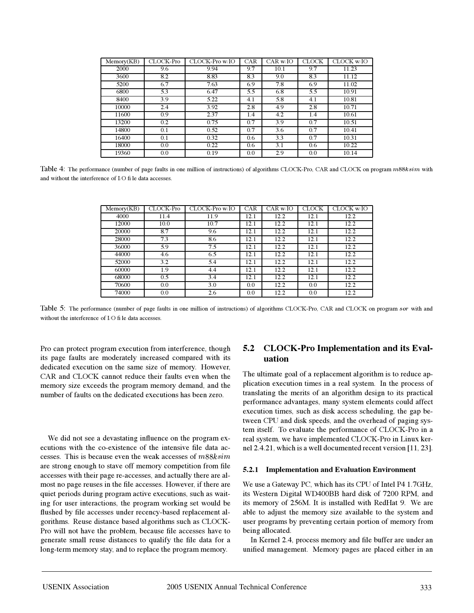| Memory(KB) | CLOCK-Pro | CLOCK-Pro w/IO | CAR | $CAR$ w/IO | <b>CLOCK</b> | CLOCK w/IO |
|------------|-----------|----------------|-----|------------|--------------|------------|
| 2000       | 9.6       | 9.94           | 9.7 | 10.1       | 9.7          | 11.23      |
| 3600       | 8.2       | 8.83           | 8.3 | 9.0        | 8.3          | 11.12      |
| 5200       | 6.7       | 7.63           | 6.9 | 7.8        | 6.9          | 11.02      |
| 6800       | 5.3       | 6.47           | 5.5 | 6.8        | 5.5          | 10.91      |
| 8400       | 3.9       | 5.22           | 4.1 | 5.8        | 4.1          | 10.81      |
| 10000      | 2.4       | 3.92           | 2.8 | 4.9        | 2.8          | 10.71      |
| 11600      | 0.9       | 2.37           | 1.4 | 4.2        | 1.4          | 10.61      |
| 13200      | 0.2       | 0.75           | 0.7 | 3.9        | 0.7          | 10.51      |
| 14800      | 0.1       | 0.52           | 0.7 | 3.6        | 0.7          | 10.41      |
| 16400      | 0.1       | 0.32           | 0.6 | 3.3        | 0.7          | 10.31      |
| 18000      | 0.0       | 0.22           | 0.6 | 3.1        | 0.6          | 10.22      |
| 19360      | 0.0       | 0.19           | 0.0 | 2.9        | 0.0          | 10.14      |

Table 4: The performance (number of page faults in one million of instructions) of algorithms CLOCK-Pro, CAR and CLOCK on program  $m88ksim$  with and without the interference of I/O fi le data accesses.

| Memory(KB) | CLOCK-Pro | CLOCK-Pro w/IO | <b>CAR</b> | CAR w/IO | CLOCK | CLOCK w/IO |
|------------|-----------|----------------|------------|----------|-------|------------|
| 4000       | 11.4      | 11.9           | 12.1       | 12.2     | 12.1  | 12.2       |
| 12000      | 10.0      | 10.7           | 12.1       | 12.2     | 12.1  | 12.2       |
| 20000      | 8.7       | 9.6            | 12.1       | 12.2     | 12.1  | 12.2       |
| 28000      | 7.3       | 8.6            | 12.1       | 12.2     | 12.1  | 12.2       |
| 36000      | 5.9       | 7.5            | 12.1       | 12.2     | 12.1  | 12.2       |
| 44000      | 4.6       | 6.5            | 12.1       | 12.2     | 12.1  | 12.2       |
| 52000      | 3.2       | 5.4            | 12.1       | 12.2     | 12.1  | 12.2       |
| 60000      | 1.9       | 4.4            | 12.1       | 12.2     | 12.1  | 12.2       |
| 68000      | 0.5       | 3.4            | 12.1       | 12.2     | 12.1  | 12.2       |
| 70600      | 0.0       | 3.0            | 0.0        | 12.2     | 0.0   | 12.2       |
| 74000      | 0.0       | 2.6            | 0.0        | 12.2     | 0.0   | 12.2       |

Table 5: The performance (number of page faults in one million of instructions) of algorithms CLOCK-Pro, CAR and CLOCK on program sor with and without the interference of I/O fi le data accesses.

Pro can protect program execution from interference, though its page faults are moderately increased compared with its dedicated execution on the same size of memory. However, CAR and CLOCK cannot reduce their faults even when the memory size exceeds the program memory demand, and the number of faults on the dedicated executions has been zero.

We did not see a devastating influence on the program executions with the co-existence of the intensive file data accesses. This is because even the weak accesses of  $m88ksim$ are strong enough to stave off memory competition from file accesses with their page re-accesses, and actually there are almost no page reuses in the file accesses. However, if there are quiet periods during program active executions, such as waiting for user interactions, the program working set would be flushed by file accesses under recency-based replacement algorithms. Reuse distance based algorithms such as CLOCK-Pro will not have the problem, because file accesses have to generate small reuse distances to qualify the file data for a long-term memory stay, and to replace the program memory.

### **5.2 CLOCK-Pro Implementation and its Evaluation**

The ultimate goal of a replacement algorithm is to reduce application execution times in a real system. In the process of translating the merits of an algorithm design to its practical performance advantages, many system elements could affect execution times, such as disk access scheduling, the gap between CPU and disk speeds, and the overhead of paging system itself. To evaluate the performance of CLOCK-Pro in a real system, we have implemented CLOCK-Pro in Linux kernel 2.4.21, which is a well documented recent version [11, 23].

#### **5.2.1 Implementation and Evaluation Environment**

We use a Gateway PC, which has its CPU of Intel P4 1.7GHz, its Western Digital WD400BB hard disk of 7200 RPM, and its memory of 256M. It is installed with RedHat 9. We are able to adjust the memory size available to the system and user programs by preventing certain portion of memory from being allocated.

In Kernel 2.4, process memory and file buffer are under an unified management. Memory pages are placed either in an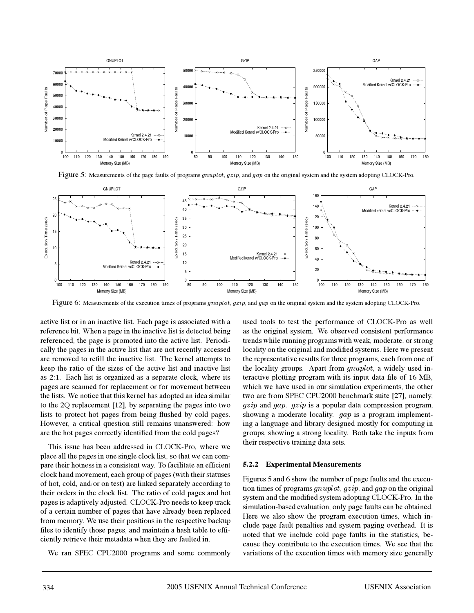

Figure 5: Measurements of the page faults of programs  $g n u plot$ ,  $g z i p$ , and  $g a p$  on the original system and the system adopting CLOCK-Pro.



Figure 6: Measurements of the execution times of programs  $\emph{gnuplot},$   $\emph{gzip}$  and  $\emph{gap}$  on the original system and the system adopting CLOCK-Pro.

active list or in an inactive list. Each page is associated with a reference bit. When a page in the inactive list is detected being referenced, the page is promoted into the active list. Periodically the pages in the active list that are not recently accessed are removed to refill the inactive list. The kernel attempts to keep the ratio of the sizes of the active list and inactive list as 2:1. Each list is organized as a separate clock, where its pages are scanned for replacement or for movement between the lists. We notice that this kernel has adopted an idea similar to the 2Q replacement [12], by separating the pages into two lists to protect hot pages from being flushed by cold pages. However, a critical question still remains unanswered: how are the hot pages correctly identified from the cold pages?

This issue has been addressed in CLOCK-Pro, where we place all the pages in one single clock list, so that we can compare their hotness in a consistent way. To facilitate an efficient clock hand movement, each group of pages (with their statuses of hot, cold, and/or on test) are linked separately according to their orders in the clock list. The ratio of cold pages and hot pages is adaptively adjusted. CLOCK-Pro needs to keep track of a certain number of pages that have already been replaced from memory. We use their positions in the respective backup files to identify those pages, and maintain a hash table to efficiently retrieve their metadata when they are faulted in.

We ran SPEC CPU2000 programs and some commonly

used tools to test the performance of CLOCK-Pro as well as the original system. We observed consistent performance trends while running programs with weak, moderate, or strong locality on the original and modified systems. Here we present the representative results for three programs, each from one of the locality groups. Apart from  $gnuplot$ , a widely used interactive plotting program with its input data file of 16 MB, which we have used in our simulation experiments, the other two are from SPEC CPU2000 benchmark suite [27], namely,  $gzip$  and  $gap.$   $gzip$  is a popular data compression program, showing a moderate locality.  $qap$  is a program implementing a language and library designed mostly for computing in groups, showing a strong locality. Both take the inputs from their respective training data sets.

#### **5.2.2 Experimental Measurements**

Figures 5 and 6 show the number of page faults and the execution times of programs  $\mathit{gnuplot}, \mathit{gzip},$  and  $\mathit{gap}$  on the original system and the modified system adopting CLOCK-Pro. In the simulation-based evaluation, only page faults can be obtained. Here we also show the program execution times, which include page fault penalties and system paging overhead. It is noted that we include cold page faults in the statistics, because they contribute to the execution times. We see that the variations of the execution times with memory size generally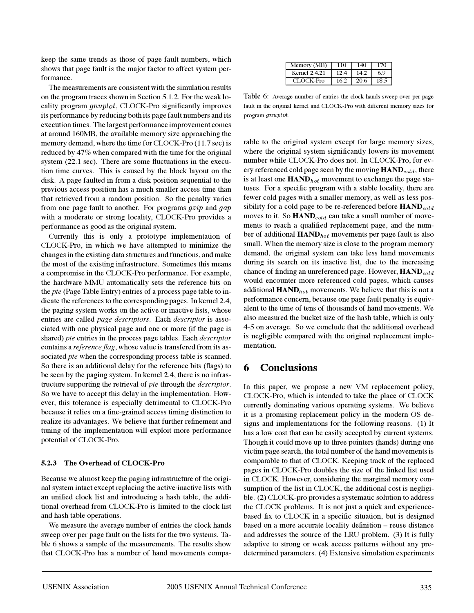keep the same trends as those of page fault numbers, which shows that page fault is the major factor to affect system performance.

The measurements are consistent with the simulation results on the program traces shown in Section 5.1.2. For the weak locality program  $\emph{gnuplot}$ , CLOCK-Pro significantly improves its performance by reducing both its page fault numbers and its execution times. The largest performance improvement comes at around 160MB, the available memory size approaching the memory demand, where the time for CLOCK-Pro (11.7 sec) is reduced by 47% when compared with the time for the original system (22.1 sec). There are some fluctuations in the execution time curves. This is caused by the block layout on the disk. A page faulted in from a disk position sequential to the previous access position has a much smaller access time than that retrieved from a random position. So the penalty varies from one page fault to another. For programs  $gzip$  and  $gap$  sibi with a moderate or strong locality, CLOCK-Pro provides a performance as good as the original system.

Currently this is only a prototype implementation of CLOCK-Pro, in which we have attempted to minimize the changes in the existing data structures and functions, and make the most of the existing infrastructure. Sometimes this means a compromise in the CLOCK-Pro performance. For example, the hardware MMU automatically sets the reference bits on the *pte* (Page Table Entry) entries of a process page table to indicate the references to the corresponding pages. In kernel 2.4, the paging system works on the active or inactive lists, whose entries are called *page descriptors*. Each *descriptor* is associated with one physical page and one or more (if the page is shared) *pte* entries in the process page tables. Each *descriptor* contains a *reference flag*, whose value is transfered from its associated *pte* when the corresponding process table is scanned. So there is an additional delay for the reference bits (flags) to be seen by the paging system. In kernel 2.4, there is no infrastructure supporting the retrieval of *pte* through the *descriptor*. So we have to accept this delay in the implementation. However, this tolerance is especially detrimental to CLOCK-Pro because it relies on a fine-grained access timing distinction to realize its advantages. We believe that further refinement and tuning of the implementation will exploit more performance potential of CLOCK-Pro.

#### **5.2.3 The Overhead of CLOCK-Pro**

Because we almost keep the paging infrastructure of the original system intact except replacing the active/inactive lists with an unified clock list and introducing a hash table, the additional overhead from CLOCK-Pro is limited to the clock list and hash table operations.

We measure the average number of entries the clock hands sweep over per page fault on the lists for the two systems. Table 6 shows a sample of the measurements. The results show that CLOCK-Pro has a number of hand movements compa-

| Memory (MB)     | 110  | 140  | 170  |
|-----------------|------|------|------|
| Kernel $2.4.21$ | 12.4 | 142  | 69   |
| CLOCK-Pro       | 162  | 20.6 | 18.5 |

Table 6: Average number of entries the clock hands sweep over per page fault in the original kernel and CLOCK-Pro with different memory sizes for program gnuplot.

rable to the original system except for large memory sizes, where the original system significantly lowers its movement number while CLOCK-Pro does not. In CLOCK-Pro, for every referenced cold page seen by the moving  $HAND_{cold}$ , there is at least one  $\textbf{HAND}_{hot}$  movement to exchange the page statuses. For a specific program with a stable locality, there are fewer cold pages with a smaller memory, as well as less possibility for a cold page to be re-referenced before **HAND** moves to it. So  $HAND_{cold}$  can take a small number of movements to reach a qualified replacement page, and the number of additional  $HAND_{hot}$  movements per page fault is also small. When the memory size is close to the program memory demand, the original system can take less hand movements during its search on its inactive list, due to the increasing chance of finding an unreferenced page. However, **HAND** would encounter more referenced cold pages, which causes additional  $HAND_{hot}$  movements. We believe that this is not a performance concern, because one page fault penalty is equivalent to the time of tens of thousands of hand movements. We also measured the bucket size of the hash table, which is only 4-5 on average. So we conclude that the additional overhead is negligible compared with the original replacement implementation.

## **6 Conclusions**

In this paper, we propose a new VM replacement policy, CLOCK-Pro, which is intended to take the place of CLOCK currently dominating various operating systems. We believe it is a promising replacement policy in the modern OS designs and implementations for the following reasons. (1) It has a low cost that can be easily accepted by current systems. Though it could move up to three pointers (hands) during one victim page search, the total number of the hand movements is comparable to that of CLOCK. Keeping track of the replaced pages in CLOCK-Pro doubles the size of the linked list used in CLOCK. However, considering the marginal memory consumption of the list in CLOCK, the additional cost is negligible. (2) CLOCK-pro provides a systematic solution to address the CLOCK problems. It is not just a quick and experiencebased fix to CLOCK in a specific situation, but is designed based on a more accurate locality definition – reuse distance and addresses the source of the LRU problem. (3) It is fully adaptive to strong or weak access patterns without any predetermined parameters. (4) Extensive simulation experiments